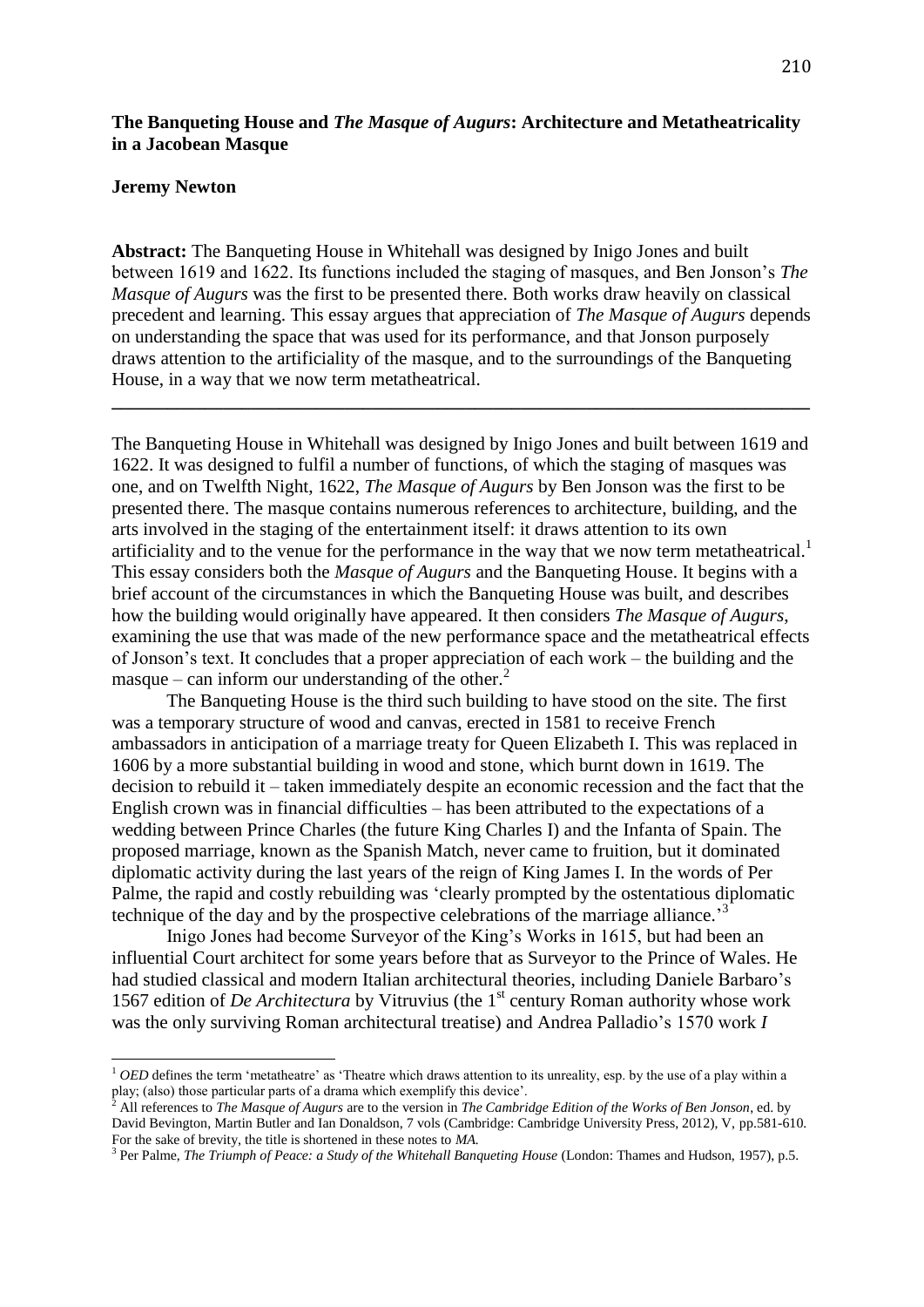# **The Banqueting House and** *The Masque of Augurs***: Architecture and Metatheatricality in a Jacobean Masque**

#### **Jeremy Newton**

 $\overline{\phantom{a}}$ 

**Abstract:** The Banqueting House in Whitehall was designed by Inigo Jones and built between 1619 and 1622. Its functions included the staging of masques, and Ben Jonson's *The Masque of Augurs* was the first to be presented there. Both works draw heavily on classical precedent and learning. This essay argues that appreciation of *The Masque of Augurs* depends on understanding the space that was used for its performance, and that Jonson purposely draws attention to the artificiality of the masque, and to the surroundings of the Banqueting House, in a way that we now term metatheatrical.

**\_\_\_\_\_\_\_\_\_\_\_\_\_\_\_\_\_\_\_\_\_\_\_\_\_\_\_\_\_\_\_\_\_\_\_\_\_\_\_\_\_\_\_\_\_\_\_\_\_\_\_\_\_\_\_\_\_\_\_\_\_\_\_\_\_\_\_\_\_\_\_\_\_\_\_**

The Banqueting House in Whitehall was designed by Inigo Jones and built between 1619 and 1622. It was designed to fulfil a number of functions, of which the staging of masques was one, and on Twelfth Night, 1622, *The Masque of Augurs* by Ben Jonson was the first to be presented there. The masque contains numerous references to architecture, building, and the arts involved in the staging of the entertainment itself: it draws attention to its own artificiality and to the venue for the performance in the way that we now term metatheatrical.<sup>1</sup> This essay considers both the *Masque of Augurs* and the Banqueting House. It begins with a brief account of the circumstances in which the Banqueting House was built, and describes how the building would originally have appeared. It then considers *The Masque of Augurs*, examining the use that was made of the new performance space and the metatheatrical effects of Jonson's text. It concludes that a proper appreciation of each work – the building and the masque – can inform our understanding of the other.<sup>2</sup>

The Banqueting House is the third such building to have stood on the site. The first was a temporary structure of wood and canvas, erected in 1581 to receive French ambassadors in anticipation of a marriage treaty for Queen Elizabeth I. This was replaced in 1606 by a more substantial building in wood and stone, which burnt down in 1619. The decision to rebuild it – taken immediately despite an economic recession and the fact that the English crown was in financial difficulties – has been attributed to the expectations of a wedding between Prince Charles (the future King Charles I) and the Infanta of Spain. The proposed marriage, known as the Spanish Match, never came to fruition, but it dominated diplomatic activity during the last years of the reign of King James I. In the words of Per Palme, the rapid and costly rebuilding was 'clearly prompted by the ostentatious diplomatic technique of the day and by the prospective celebrations of the marriage alliance.<sup>3</sup>

Inigo Jones had become Surveyor of the King's Works in 1615, but had been an influential Court architect for some years before that as Surveyor to the Prince of Wales. He had studied classical and modern Italian architectural theories, including Daniele Barbaro's 1567 edition of *De Architectura* by Vitruvius (the 1<sup>st</sup> century Roman authority whose work was the only surviving Roman architectural treatise) and Andrea Palladio's 1570 work *I* 

<sup>&</sup>lt;sup>1</sup> *OED* defines the term 'metatheatre' as 'Theatre which draws attention to its unreality, esp. by the use of a play within a play; (also) those particular parts of a drama which exemplify this device'.

<sup>2</sup> All references to *The Masque of Augurs* are to the version in *The Cambridge Edition of the Works of Ben Jonson*, ed. by David Bevington, Martin Butler and Ian Donaldson, 7 vols (Cambridge: Cambridge University Press, 2012), V, pp.581-610. For the sake of brevity, the title is shortened in these notes to *MA.*

<sup>&</sup>lt;sup>3</sup> Per Palme, *The Triumph of Peace: a Study of the Whitehall Banqueting House* (London: Thames and Hudson, 1957), p.5.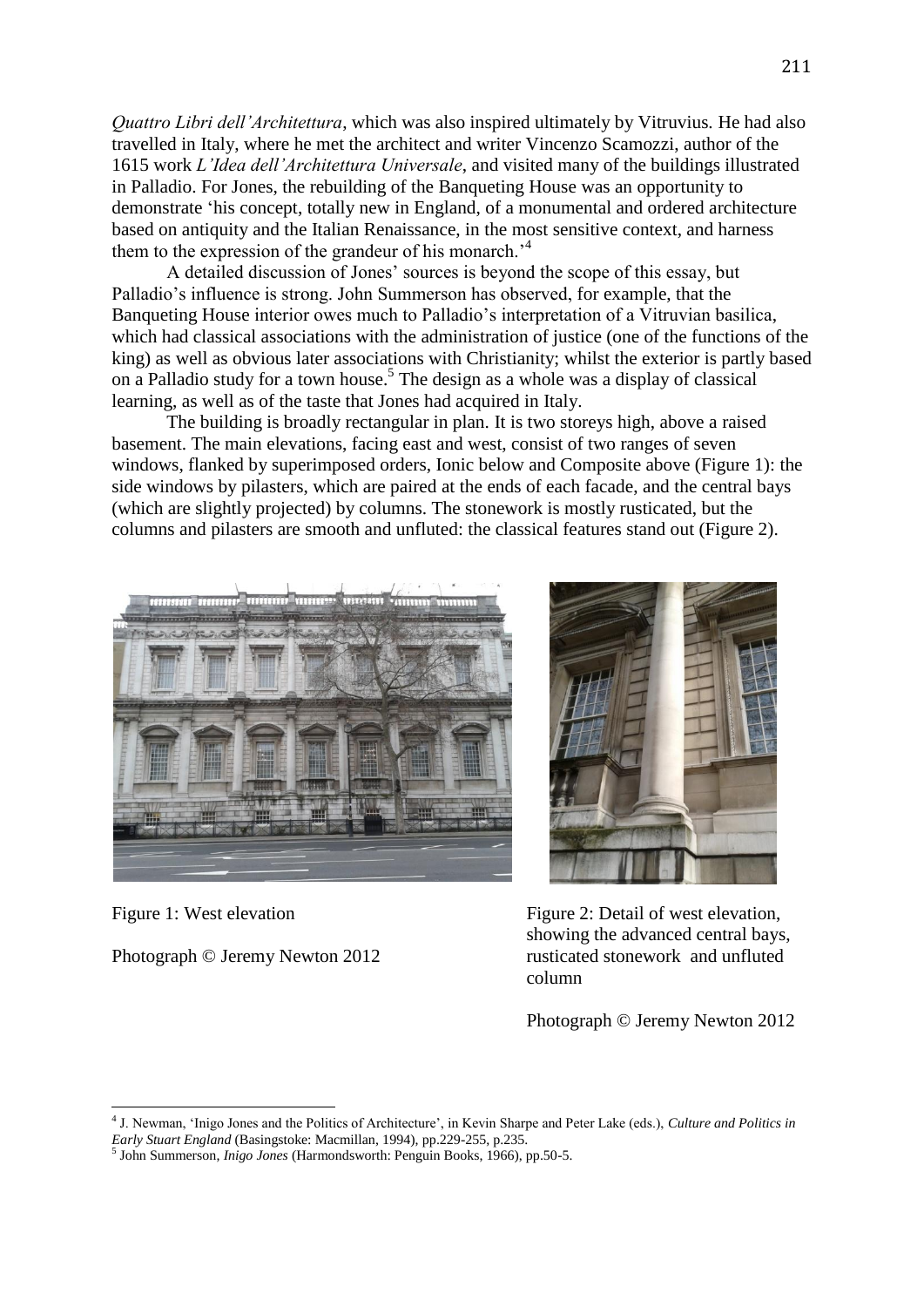*Quattro Libri dell'Architettura*, which was also inspired ultimately by Vitruvius*.* He had also travelled in Italy, where he met the architect and writer Vincenzo Scamozzi, author of the 1615 work *L'Idea dell'Architettura Universale*, and visited many of the buildings illustrated in Palladio. For Jones, the rebuilding of the Banqueting House was an opportunity to demonstrate 'his concept, totally new in England, of a monumental and ordered architecture based on antiquity and the Italian Renaissance, in the most sensitive context, and harness them to the expression of the grandeur of his monarch.<sup>4</sup>

A detailed discussion of Jones' sources is beyond the scope of this essay, but Palladio's influence is strong. John Summerson has observed, for example, that the Banqueting House interior owes much to Palladio's interpretation of a Vitruvian basilica, which had classical associations with the administration of justice (one of the functions of the king) as well as obvious later associations with Christianity; whilst the exterior is partly based on a Palladio study for a town house.<sup>5</sup> The design as a whole was a display of classical learning, as well as of the taste that Jones had acquired in Italy.

The building is broadly rectangular in plan. It is two storeys high, above a raised basement. The main elevations, facing east and west, consist of two ranges of seven windows, flanked by superimposed orders, Ionic below and Composite above (Figure 1): the side windows by pilasters, which are paired at the ends of each facade, and the central bays (which are slightly projected) by columns. The stonework is mostly rusticated, but the columns and pilasters are smooth and unfluted: the classical features stand out (Figure 2).



Figure 1: West elevation

1

Photograph © Jeremy Newton 2012



Figure 2: Detail of west elevation, showing the advanced central bays, rusticated stonework and unfluted column

Photograph © Jeremy Newton 2012

<sup>4</sup> J. Newman, 'Inigo Jones and the Politics of Architecture', in Kevin Sharpe and Peter Lake (eds.), *Culture and Politics in Early Stuart England* (Basingstoke: Macmillan, 1994), pp.229-255, p.235.

<sup>5</sup> John Summerson, *Inigo Jones* (Harmondsworth: Penguin Books, 1966), pp.50-5.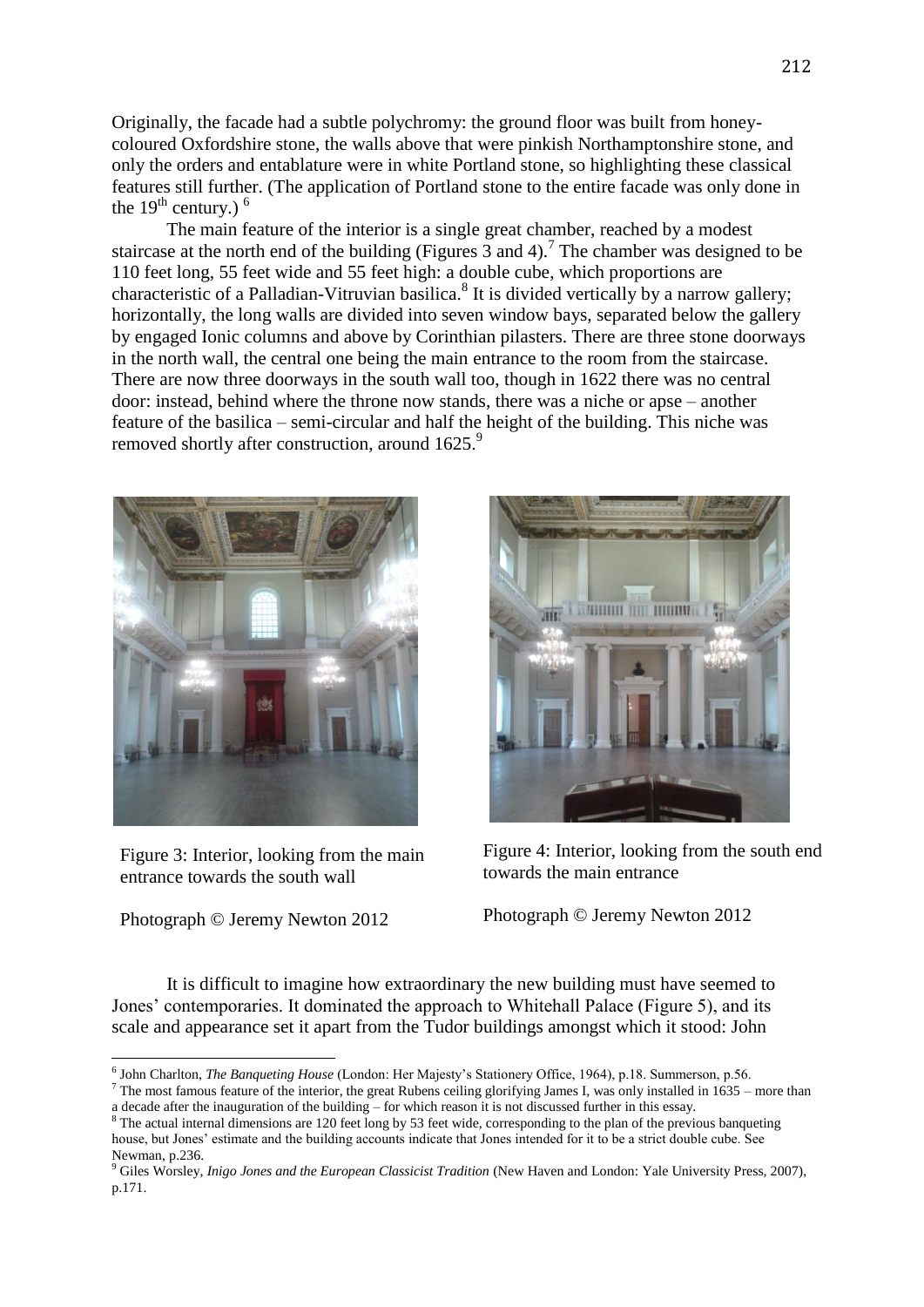Originally, the facade had a subtle polychromy: the ground floor was built from honeycoloured Oxfordshire stone, the walls above that were pinkish Northamptonshire stone, and only the orders and entablature were in white Portland stone, so highlighting these classical features still further. (The application of Portland stone to the entire facade was only done in the  $19<sup>th</sup>$  century.) <sup>6</sup>

The main feature of the interior is a single great chamber, reached by a modest staircase at the north end of the building (Figures  $\overline{3}$  and 4).<sup>7</sup> The chamber was designed to be 110 feet long, 55 feet wide and 55 feet high: a double cube, which proportions are characteristic of a Palladian-Vitruvian basilica.<sup>8</sup> It is divided vertically by a narrow gallery; horizontally, the long walls are divided into seven window bays, separated below the gallery by engaged Ionic columns and above by Corinthian pilasters. There are three stone doorways in the north wall, the central one being the main entrance to the room from the staircase. There are now three doorways in the south wall too, though in 1622 there was no central door: instead, behind where the throne now stands, there was a niche or apse – another feature of the basilica – semi-circular and half the height of the building. This niche was removed shortly after construction, around 1625.<sup>9</sup>



Figure 3: Interior, looking from the main entrance towards the south wall

Photograph © Jeremy Newton 2012

 $\overline{\phantom{a}}$ 



Figure 4: Interior, looking from the south end towards the main entrance

Photograph © Jeremy Newton 2012

It is difficult to imagine how extraordinary the new building must have seemed to Jones' contemporaries. It dominated the approach to Whitehall Palace (Figure 5), and its scale and appearance set it apart from the Tudor buildings amongst which it stood: John

 $7$  The most famous feature of the interior, the great Rubens ceiling glorifying James I, was only installed in 1635 – more than a decade after the inauguration of the building – for which reason it is not discussed further in this essay.

<sup>6</sup> John Charlton, *The Banqueting House* (London: Her Majesty's Stationery Office, 1964), p.18. Summerson, p.56.

<sup>&</sup>lt;sup>8</sup> The actual internal dimensions are 120 feet long by 53 feet wide, corresponding to the plan of the previous banqueting house, but Jones' estimate and the building accounts indicate that Jones intended for it to be a strict double cube. See Newman, p.236.

<sup>&</sup>lt;sup>9</sup> Giles Worsley, *Inigo Jones and the European Classicist Tradition* (New Haven and London: Yale University Press, 2007), p.171.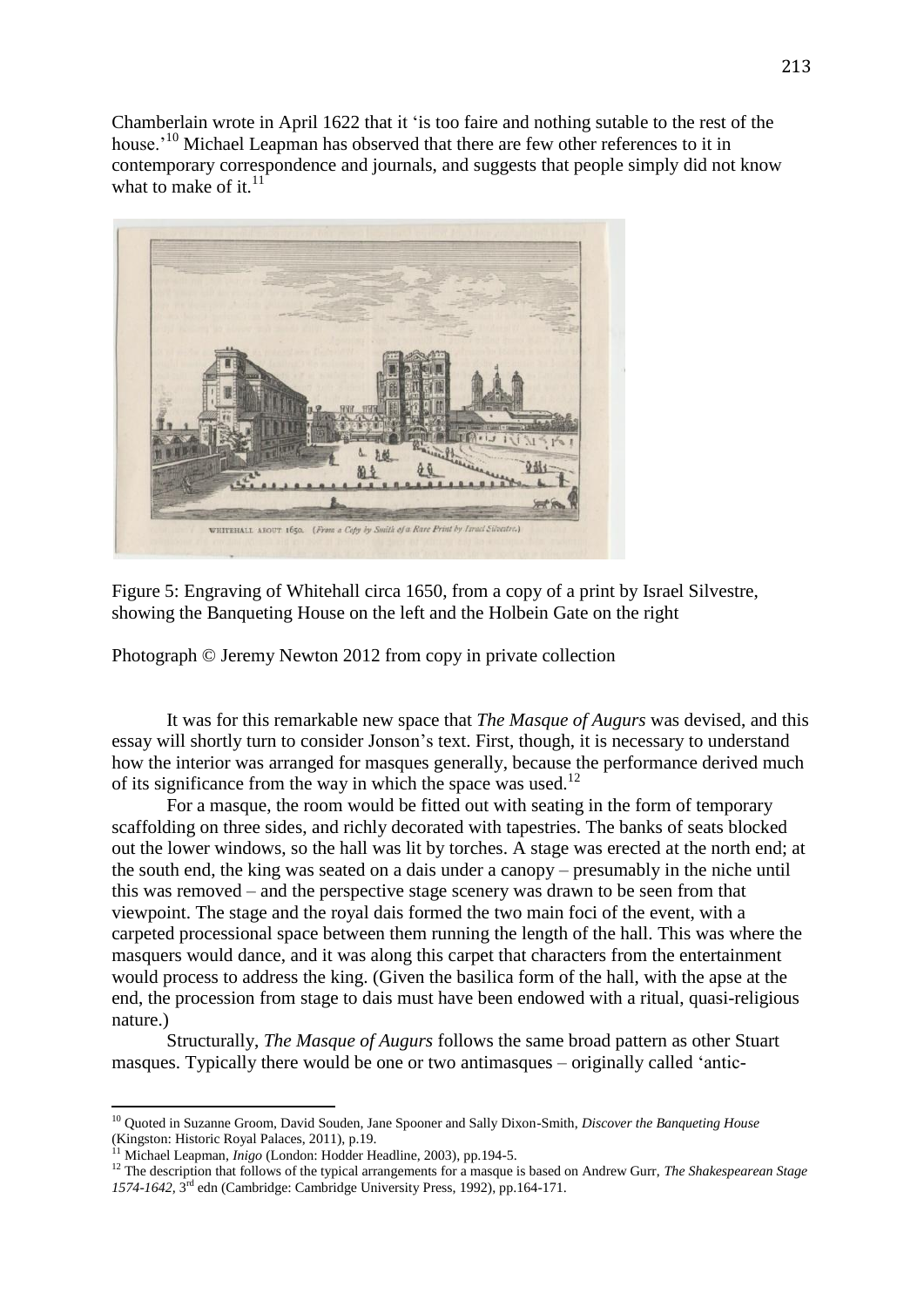Chamberlain wrote in April 1622 that it 'is too faire and nothing sutable to the rest of the house.<sup>'10</sup> Michael Leapman has observed that there are few other references to it in contemporary correspondence and journals, and suggests that people simply did not know what to make of it. $^{11}$ 



Figure 5: Engraving of Whitehall circa 1650, from a copy of a print by Israel Silvestre, showing the Banqueting House on the left and the Holbein Gate on the right

Photograph © Jeremy Newton 2012 from copy in private collection

It was for this remarkable new space that *The Masque of Augurs* was devised, and this essay will shortly turn to consider Jonson's text. First, though, it is necessary to understand how the interior was arranged for masques generally, because the performance derived much of its significance from the way in which the space was used.<sup>12</sup>

For a masque, the room would be fitted out with seating in the form of temporary scaffolding on three sides, and richly decorated with tapestries. The banks of seats blocked out the lower windows, so the hall was lit by torches. A stage was erected at the north end; at the south end, the king was seated on a dais under a canopy – presumably in the niche until this was removed – and the perspective stage scenery was drawn to be seen from that viewpoint. The stage and the royal dais formed the two main foci of the event, with a carpeted processional space between them running the length of the hall. This was where the masquers would dance, and it was along this carpet that characters from the entertainment would process to address the king. (Given the basilica form of the hall, with the apse at the end, the procession from stage to dais must have been endowed with a ritual, quasi-religious nature.)

Structurally, *The Masque of Augurs* follows the same broad pattern as other Stuart masques. Typically there would be one or two antimasques – originally called 'antic-

1

<sup>10</sup> Quoted in Suzanne Groom, David Souden, Jane Spooner and Sally Dixon-Smith, *Discover the Banqueting House*  (Kingston: Historic Royal Palaces, 2011), p.19.

<sup>11</sup> Michael Leapman, *Inigo* (London: Hodder Headline, 2003), pp.194-5.

<sup>&</sup>lt;sup>12</sup> The description that follows of the typical arrangements for a masque is based on Andrew Gurr, *The Shakespearean Stage* 1574-1642, 3<sup>rd</sup> edn (Cambridge: Cambridge University Press, 1992), pp.164-171.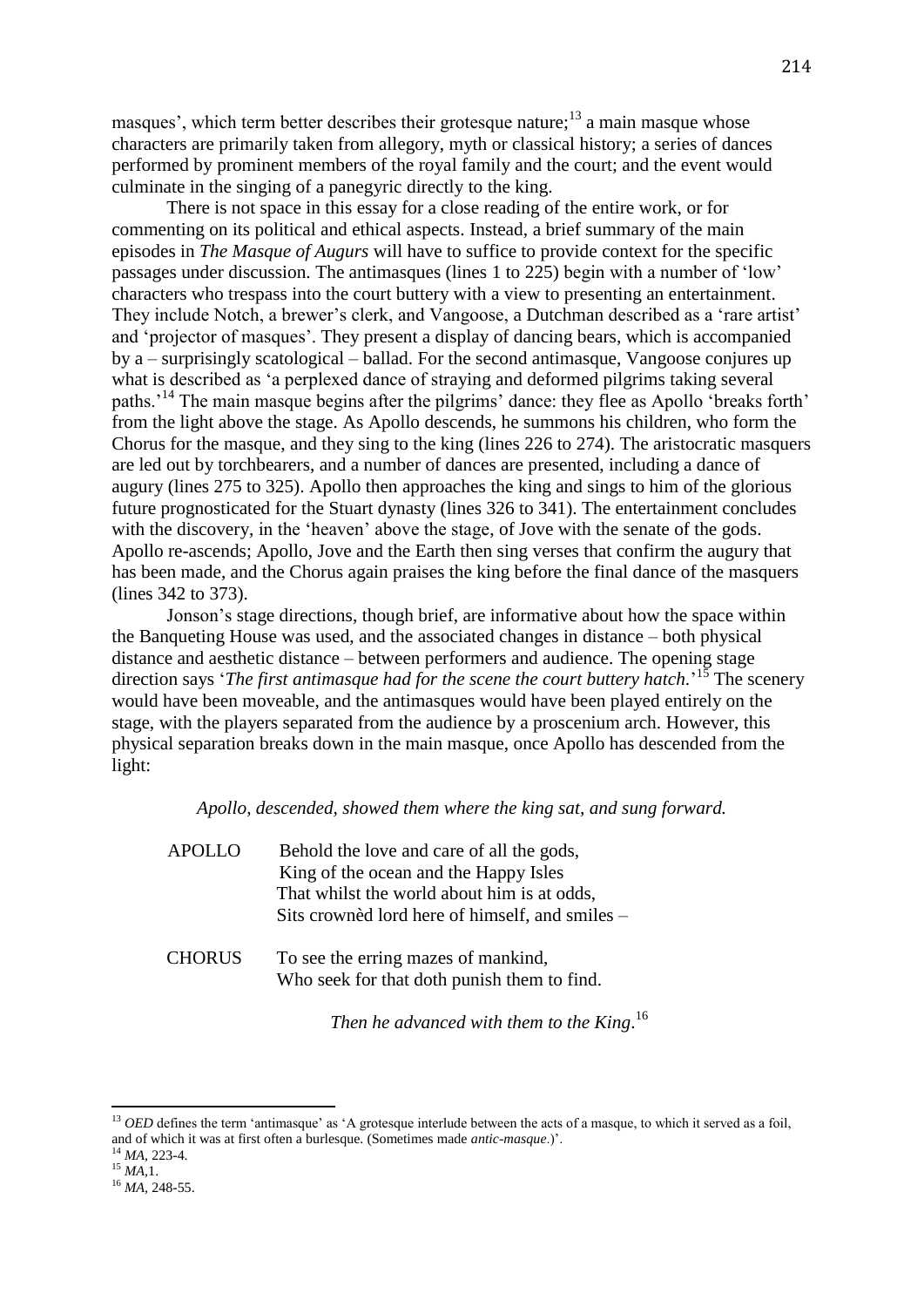masques', which term better describes their grotesque nature;<sup>13</sup> a main masque whose characters are primarily taken from allegory, myth or classical history; a series of dances performed by prominent members of the royal family and the court; and the event would culminate in the singing of a panegyric directly to the king.

There is not space in this essay for a close reading of the entire work, or for commenting on its political and ethical aspects. Instead, a brief summary of the main episodes in *The Masque of Augurs* will have to suffice to provide context for the specific passages under discussion. The antimasques (lines 1 to 225) begin with a number of 'low' characters who trespass into the court buttery with a view to presenting an entertainment. They include Notch, a brewer's clerk, and Vangoose, a Dutchman described as a 'rare artist' and 'projector of masques'. They present a display of dancing bears, which is accompanied by a – surprisingly scatological – ballad. For the second antimasque, Vangoose conjures up what is described as 'a perplexed dance of straying and deformed pilgrims taking several paths.'<sup>14</sup> The main masque begins after the pilgrims' dance: they flee as Apollo 'breaks forth' from the light above the stage. As Apollo descends, he summons his children, who form the Chorus for the masque, and they sing to the king (lines 226 to 274). The aristocratic masquers are led out by torchbearers, and a number of dances are presented, including a dance of augury (lines 275 to 325). Apollo then approaches the king and sings to him of the glorious future prognosticated for the Stuart dynasty (lines 326 to 341). The entertainment concludes with the discovery, in the 'heaven' above the stage, of Jove with the senate of the gods. Apollo re-ascends; Apollo, Jove and the Earth then sing verses that confirm the augury that has been made, and the Chorus again praises the king before the final dance of the masquers (lines 342 to 373).

Jonson's stage directions, though brief, are informative about how the space within the Banqueting House was used, and the associated changes in distance – both physical distance and aesthetic distance – between performers and audience. The opening stage direction says '*The first antimasque had for the scene the court buttery hatch*.<sup>'15</sup> The scenery would have been moveable, and the antimasques would have been played entirely on the stage, with the players separated from the audience by a proscenium arch. However, this physical separation breaks down in the main masque, once Apollo has descended from the light:

#### *Apollo, descended, showed them where the king sat, and sung forward.*

| <b>APOLLO</b> | Behold the love and care of all the gods,<br>King of the ocean and the Happy Isles |
|---------------|------------------------------------------------------------------------------------|
|               | That whilst the world about him is at odds,                                        |
|               | Sits crowned lord here of himself, and smiles –                                    |
| <b>CHORUS</b> | To see the erring mazes of mankind,<br>Who seek for that doth punish them to find. |

*Then he advanced with them to the King*. 16

1

<sup>&</sup>lt;sup>13</sup> *OED* defines the term 'antimasque' as 'A grotesque interlude between the acts of a masque, to which it served as a foil, and of which it was at first often a burlesque. (Sometimes made *antic-masque*.)'.

<sup>14</sup> *MA,* 223-4.

<sup>15</sup> *MA,*1.

<sup>16</sup> *MA,* 248-55.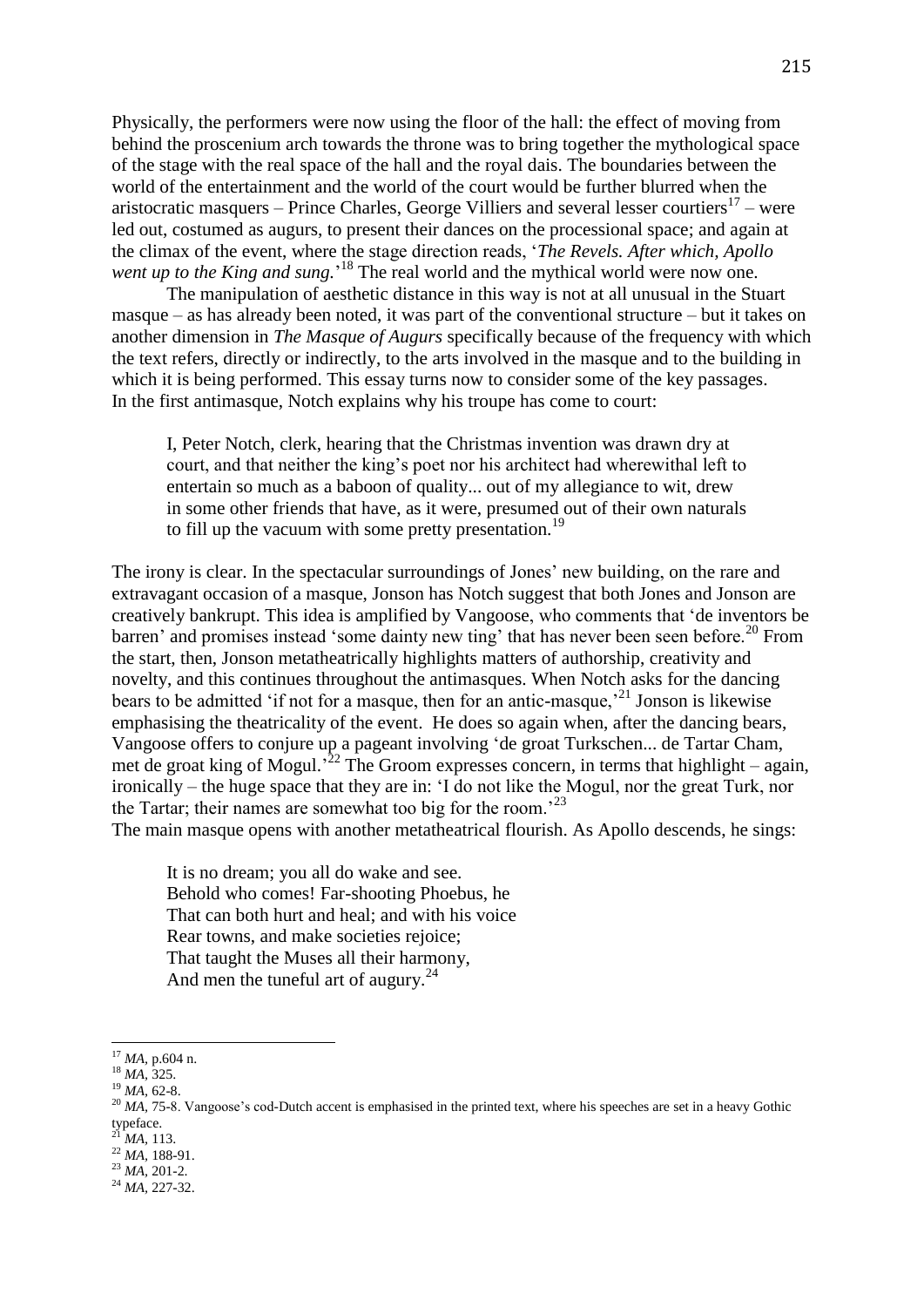Physically, the performers were now using the floor of the hall: the effect of moving from behind the proscenium arch towards the throne was to bring together the mythological space of the stage with the real space of the hall and the royal dais. The boundaries between the world of the entertainment and the world of the court would be further blurred when the aristocratic masquers – Prince Charles, George Villiers and several lesser courtiers $17$  – were led out, costumed as augurs, to present their dances on the processional space; and again at the climax of the event, where the stage direction reads, '*The Revels. After which, Apollo*  went up to the King and sung.<sup>18</sup> The real world and the mythical world were now one.

The manipulation of aesthetic distance in this way is not at all unusual in the Stuart masque – as has already been noted, it was part of the conventional structure – but it takes on another dimension in *The Masque of Augurs* specifically because of the frequency with which the text refers, directly or indirectly, to the arts involved in the masque and to the building in which it is being performed. This essay turns now to consider some of the key passages. In the first antimasque, Notch explains why his troupe has come to court:

I, Peter Notch, clerk, hearing that the Christmas invention was drawn dry at court, and that neither the king's poet nor his architect had wherewithal left to entertain so much as a baboon of quality... out of my allegiance to wit, drew in some other friends that have, as it were, presumed out of their own naturals to fill up the vacuum with some pretty presentation.<sup>19</sup>

The irony is clear. In the spectacular surroundings of Jones' new building, on the rare and extravagant occasion of a masque, Jonson has Notch suggest that both Jones and Jonson are creatively bankrupt. This idea is amplified by Vangoose, who comments that 'de inventors be barren' and promises instead 'some dainty new ting' that has never been seen before.<sup>20</sup> From the start, then, Jonson metatheatrically highlights matters of authorship, creativity and novelty, and this continues throughout the antimasques. When Notch asks for the dancing bears to be admitted 'if not for a masque, then for an antic-masque,'<sup>21</sup> Jonson is likewise emphasising the theatricality of the event. He does so again when, after the dancing bears, Vangoose offers to conjure up a pageant involving 'de groat Turkschen... de Tartar Cham, met de groat king of Mogul.<sup>22</sup> The Groom expresses concern, in terms that highlight – again, ironically – the huge space that they are in: 'I do not like the Mogul, nor the great Turk, nor the Tartar; their names are somewhat too big for the room.<sup>23</sup>

The main masque opens with another metatheatrical flourish. As Apollo descends, he sings:

It is no dream; you all do wake and see. Behold who comes! Far-shooting Phoebus, he That can both hurt and heal; and with his voice Rear towns, and make societies rejoice; That taught the Muses all their harmony, And men the tuneful art of augury. $^{24}$ 

**<sup>.</sup>** <sup>17</sup> *MA,* p.604 n.

<sup>18</sup> *MA,* 325.

<sup>19</sup> *MA,* 62-8.

<sup>&</sup>lt;sup>20</sup> *MA*, 75-8. Vangoose's cod-Dutch accent is emphasised in the printed text, where his speeches are set in a heavy Gothic typeface.

<sup>21</sup> *MA,* 113.

<sup>22</sup> *MA,* 188-91. <sup>23</sup> *MA,* 201-2.

<sup>24</sup> *MA,* 227-32.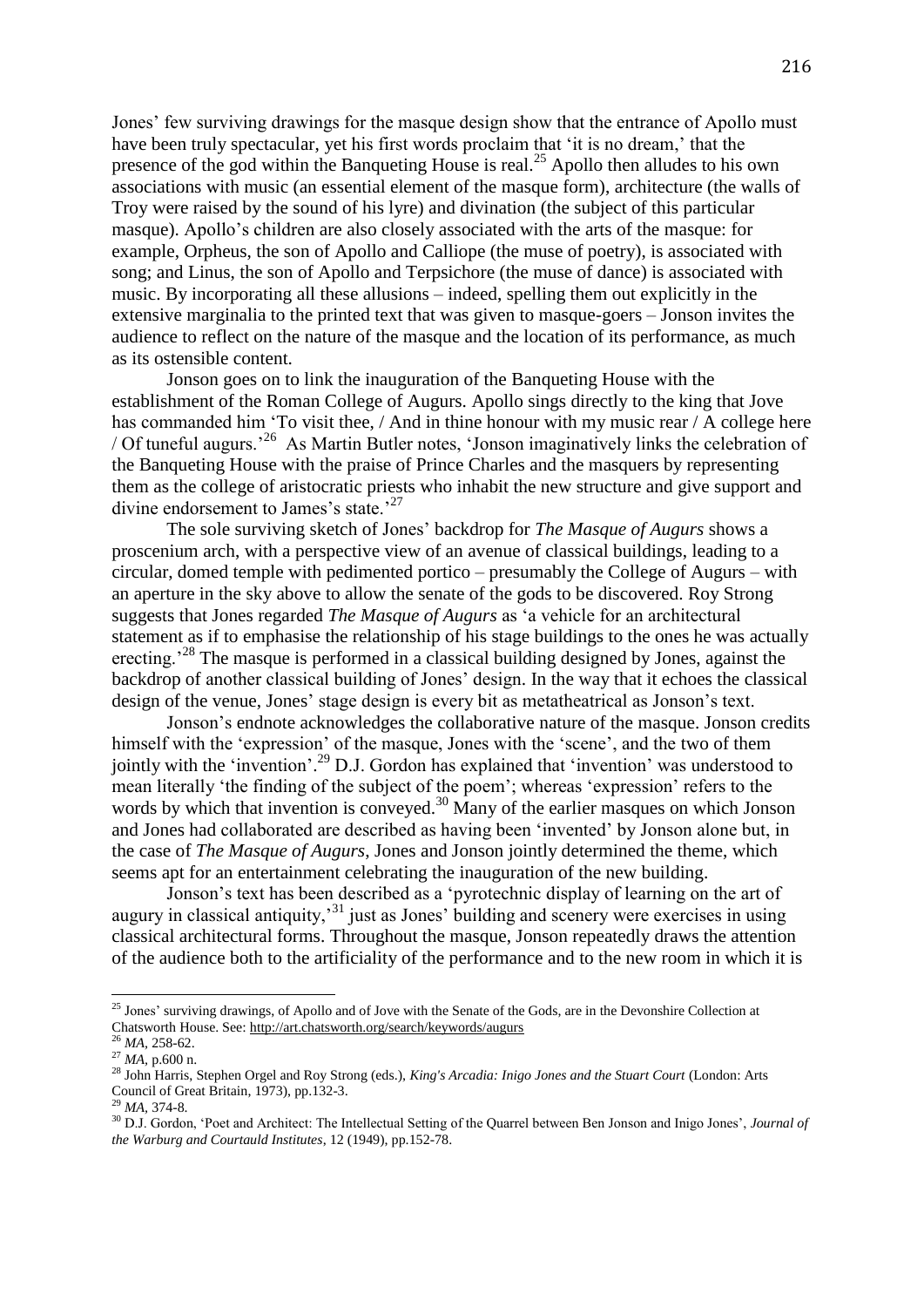Jones' few surviving drawings for the masque design show that the entrance of Apollo must have been truly spectacular, yet his first words proclaim that 'it is no dream,' that the presence of the god within the Banqueting House is real.<sup>25</sup> Apollo then alludes to his own associations with music (an essential element of the masque form), architecture (the walls of Troy were raised by the sound of his lyre) and divination (the subject of this particular masque). Apollo's children are also closely associated with the arts of the masque: for example, Orpheus, the son of Apollo and Calliope (the muse of poetry), is associated with song; and Linus, the son of Apollo and Terpsichore (the muse of dance) is associated with music. By incorporating all these allusions – indeed, spelling them out explicitly in the extensive marginalia to the printed text that was given to masque-goers – Jonson invites the audience to reflect on the nature of the masque and the location of its performance, as much as its ostensible content.

Jonson goes on to link the inauguration of the Banqueting House with the establishment of the Roman College of Augurs. Apollo sings directly to the king that Jove has commanded him 'To visit thee, / And in thine honour with my music rear / A college here / Of tuneful augurs.'<sup>26</sup> As Martin Butler notes, 'Jonson imaginatively links the celebration of the Banqueting House with the praise of Prince Charles and the masquers by representing them as the college of aristocratic priests who inhabit the new structure and give support and divine endorsement to James's state.<sup>27</sup>

The sole surviving sketch of Jones' backdrop for *The Masque of Augurs* shows a proscenium arch, with a perspective view of an avenue of classical buildings, leading to a circular, domed temple with pedimented portico – presumably the College of Augurs – with an aperture in the sky above to allow the senate of the gods to be discovered. Roy Strong suggests that Jones regarded *The Masque of Augurs* as 'a vehicle for an architectural statement as if to emphasise the relationship of his stage buildings to the ones he was actually erecting.<sup>28</sup> The masque is performed in a classical building designed by Jones, against the backdrop of another classical building of Jones' design. In the way that it echoes the classical design of the venue, Jones' stage design is every bit as metatheatrical as Jonson's text.

Jonson's endnote acknowledges the collaborative nature of the masque. Jonson credits himself with the 'expression' of the masque, Jones with the 'scene', and the two of them jointly with the 'invention'.<sup>29</sup> D.J. Gordon has explained that 'invention' was understood to mean literally 'the finding of the subject of the poem'; whereas 'expression' refers to the words by which that invention is conveyed.<sup>30</sup> Many of the earlier masques on which Jonson and Jones had collaborated are described as having been 'invented' by Jonson alone but, in the case of *The Masque of Augurs*, Jones and Jonson jointly determined the theme, which seems apt for an entertainment celebrating the inauguration of the new building.

Jonson's text has been described as a 'pyrotechnic display of learning on the art of augury in classical antiquity,'<sup>31</sup> just as Jones' building and scenery were exercises in using classical architectural forms. Throughout the masque, Jonson repeatedly draws the attention of the audience both to the artificiality of the performance and to the new room in which it is

**.** 

<sup>&</sup>lt;sup>25</sup> Jones' surviving drawings, of Apollo and of Jove with the Senate of the Gods, are in the Devonshire Collection at Chatsworth House. See:<http://art.chatsworth.org/search/keywords/augurs>

<sup>26</sup> *MA,* 258-62.

<sup>27</sup> *MA,* p.600 n.

<sup>28</sup> John Harris, Stephen Orgel and Roy Strong (eds.), *King's Arcadia: Inigo Jones and the Stuart Court* (London: Arts Council of Great Britain, 1973), pp.132-3.

*MA*, 374-8.

<sup>30</sup> D.J. Gordon, 'Poet and Architect: The Intellectual Setting of the Quarrel between Ben Jonson and Inigo Jones', *Journal of the Warburg and Courtauld Institutes*, 12 (1949), pp.152-78.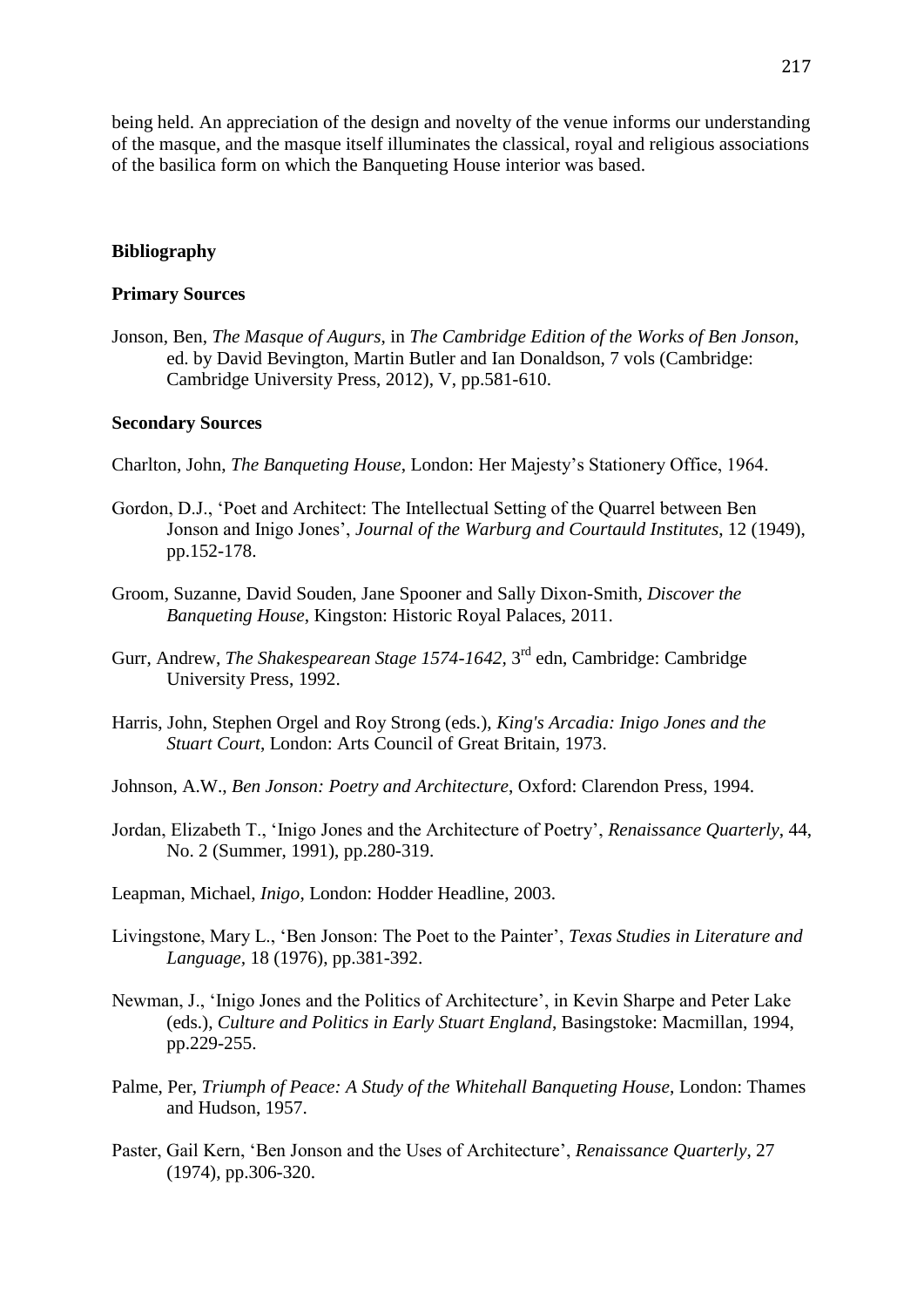being held. An appreciation of the design and novelty of the venue informs our understanding of the masque, and the masque itself illuminates the classical, royal and religious associations of the basilica form on which the Banqueting House interior was based.

## **Bibliography**

### **Primary Sources**

Jonson, Ben, *The Masque of Augurs*, in *The Cambridge Edition of the Works of Ben Jonson*, ed. by David Bevington, Martin Butler and Ian Donaldson, 7 vols (Cambridge: Cambridge University Press, 2012), V, pp.581-610.

## **Secondary Sources**

- Charlton, John, *The Banqueting House*, London: Her Majesty's Stationery Office, 1964.
- Gordon, D.J., 'Poet and Architect: The Intellectual Setting of the Quarrel between Ben Jonson and Inigo Jones', *Journal of the Warburg and Courtauld Institutes*, 12 (1949), pp.152-178.
- Groom, Suzanne, David Souden, Jane Spooner and Sally Dixon-Smith, *Discover the Banqueting House*, Kingston: Historic Royal Palaces, 2011.
- Gurr, Andrew, *The Shakespearean Stage 1574-1642*, 3<sup>rd</sup> edn, Cambridge: Cambridge University Press, 1992.
- Harris, John, Stephen Orgel and Roy Strong (eds.), *King's Arcadia: Inigo Jones and the Stuart Court*, London: Arts Council of Great Britain, 1973.
- Johnson, A.W., *Ben Jonson: Poetry and Architecture*, Oxford: Clarendon Press, 1994.
- Jordan, Elizabeth T., 'Inigo Jones and the Architecture of Poetry', *Renaissance Quarterly*, 44, No. 2 (Summer, 1991), pp.280-319.
- Leapman, Michael, *Inigo*, London: Hodder Headline, 2003.
- Livingstone, Mary L., 'Ben Jonson: The Poet to the Painter', *Texas Studies in Literature and Language,* 18 (1976), pp.381-392.
- Newman, J., 'Inigo Jones and the Politics of Architecture', in Kevin Sharpe and Peter Lake (eds.), *Culture and Politics in Early Stuart England*, Basingstoke: Macmillan, 1994, pp.229-255.
- Palme, Per, *Triumph of Peace: A Study of the Whitehall Banqueting House*, London: Thames and Hudson, 1957.
- Paster, Gail Kern, 'Ben Jonson and the Uses of Architecture', *Renaissance Quarterly*, 27 (1974), pp.306-320.